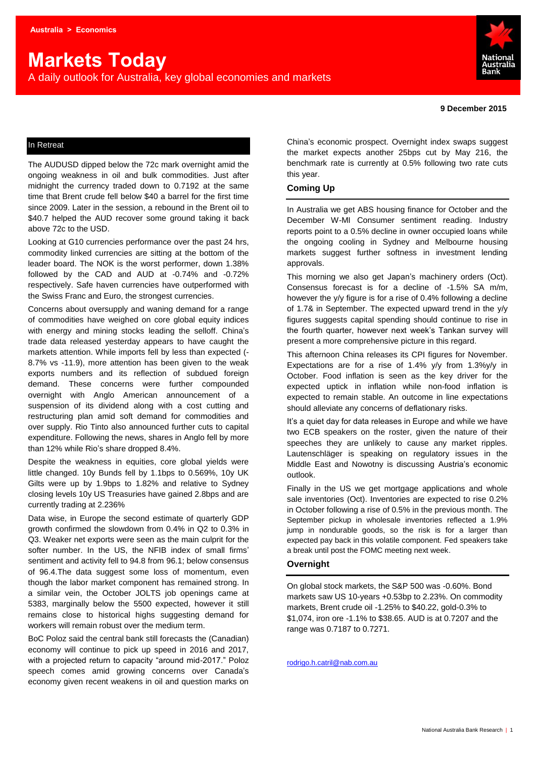# **Markets Today**

A daily outlook for Australia, key global economies and markets



## In Retreat

The AUDUSD dipped below the 72c mark overnight amid the ongoing weakness in oil and bulk commodities. Just after midnight the currency traded down to 0.7192 at the same time that Brent crude fell below \$40 a barrel for the first time since 2009. Later in the session, a rebound in the Brent oil to \$40.7 helped the AUD recover some ground taking it back above 72c to the USD.

Looking at G10 currencies performance over the past 24 hrs, commodity linked currencies are sitting at the bottom of the leader board. The NOK is the worst performer, down 1.38% followed by the CAD and AUD at -0.74% and -0.72% respectively. Safe haven currencies have outperformed with the Swiss Franc and Euro, the strongest currencies.

Concerns about oversupply and waning demand for a range of commodities have weighed on core global equity indices with energy and mining stocks leading the selloff. China's trade data released yesterday appears to have caught the markets attention. While imports fell by less than expected (- 8.7% vs -11.9), more attention has been given to the weak exports numbers and its reflection of subdued foreign demand. These concerns were further compounded overnight with Anglo American announcement of a suspension of its dividend along with a cost cutting and restructuring plan amid soft demand for commodities and over supply. Rio Tinto also announced further cuts to capital expenditure. Following the news, shares in Anglo fell by more than 12% while Rio's share dropped 8.4%.

Despite the weakness in equities, core global yields were little changed. 10y Bunds fell by 1.1bps to 0.569%, 10y UK Gilts were up by 1.9bps to 1.82% and relative to Sydney closing levels 10y US Treasuries have gained 2.8bps and are currently trading at 2.236%

Data wise, in Europe the second estimate of quarterly GDP growth confirmed the slowdown from 0.4% in Q2 to 0.3% in Q3. Weaker net exports were seen as the main culprit for the softer number. In the US, the NFIB index of small firms' sentiment and activity fell to 94.8 from 96.1; below consensus of 96.4.The data suggest some loss of momentum, even though the labor market component has remained strong. In a similar vein, the October JOLTS job openings came at 5383, marginally below the 5500 expected, however it still remains close to historical highs suggesting demand for workers will remain robust over the medium term.

BoC Poloz said the central bank still forecasts the (Canadian) economy will continue to pick up speed in 2016 and 2017, with a projected return to capacity "around mid-2017." Poloz speech comes amid growing concerns over Canada's economy given recent weakens in oil and question marks on

China's economic prospect. Overnight index swaps suggest the market expects another 25bps cut by May 216, the benchmark rate is currently at 0.5% following two rate cuts this year.

#### **Coming Up**

In Australia we get ABS housing finance for October and the December W-MI Consumer sentiment reading. Industry reports point to a 0.5% decline in owner occupied loans while the ongoing cooling in Sydney and Melbourne housing markets suggest further softness in investment lending approvals.

This morning we also get Japan's machinery orders (Oct). Consensus forecast is for a decline of -1.5% SA m/m, however the y/y figure is for a rise of 0.4% following a decline of 1.7& in September. The expected upward trend in the y/y figures suggests capital spending should continue to rise in the fourth quarter, however next week's Tankan survey will present a more comprehensive picture in this regard.

This afternoon China releases its CPI figures for November. Expectations are for a rise of 1.4% y/y from 1.3%y/y in October. Food inflation is seen as the key driver for the expected uptick in inflation while non-food inflation is expected to remain stable. An outcome in line expectations should alleviate any concerns of deflationary risks.

It's a quiet day for data releases in Europe and while we have two ECB speakers on the roster, given the nature of their speeches they are unlikely to cause any market ripples. Lautenschläger is speaking on regulatory issues in the Middle East and Nowotny is discussing Austria's economic outlook.

Finally in the US we get mortgage applications and whole sale inventories (Oct). Inventories are expected to rise 0.2% in October following a rise of 0.5% in the previous month. The September pickup in wholesale inventories reflected a 1.9% jump in nondurable goods, so the risk is for a larger than expected pay back in this volatile component. Fed speakers take a break until post the FOMC meeting next week.

#### **Overnight**

On global stock markets, the S&P 500 was -0.60%. Bond markets saw US 10-years +0.53bp to 2.23%. On commodity markets, Brent crude oil -1.25% to \$40.22, gold-0.3% to \$1,074, iron ore -1.1% to \$38.65. AUD is at 0.7207 and the range was 0.7187 to 0.7271.

[rodrigo.h.catril@nab.com.au](mailto:rodrigo.h.catril@nab.com.au)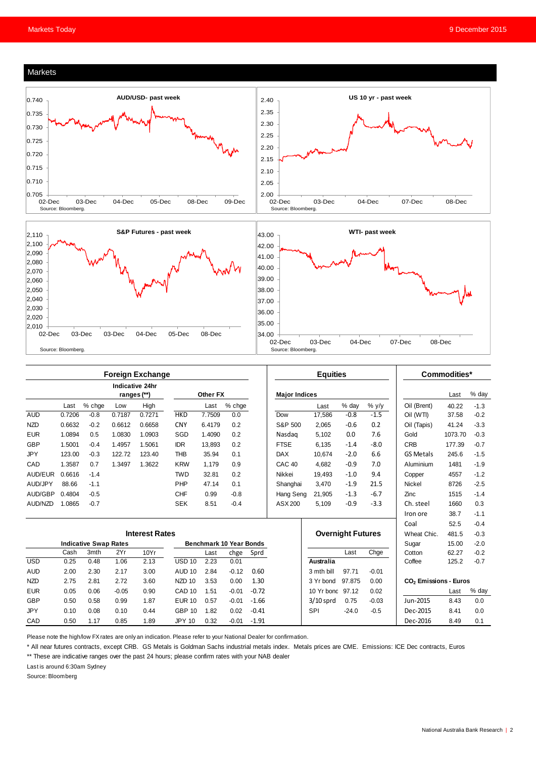





| <b>Foreign Exchange</b>      |                       |        |                                |                                |                   |          |         | <b>Equities</b> |                      |                  |                          | Commodities* |                                   |         |         |
|------------------------------|-----------------------|--------|--------------------------------|--------------------------------|-------------------|----------|---------|-----------------|----------------------|------------------|--------------------------|--------------|-----------------------------------|---------|---------|
|                              |                       |        | Indicative 24hr<br>ranges (**) |                                |                   | Other FX |         |                 | <b>Major Indices</b> |                  |                          |              |                                   | Last    | $%$ day |
|                              | Last                  | % chge | Low                            | High                           |                   | Last     | % chge  |                 |                      | Last             | % day                    | % y/y        | Oil (Brent)                       | 40.22   | $-1.3$  |
| <b>AUD</b>                   | 0.7206                | $-0.8$ | 0.7187                         | 0.7271                         | <b>HKD</b>        | 7.7509   | 0.0     |                 | Dow                  | 17.586           | $-0.8$                   | $-1.5$       | Oil (WTI)                         | 37.58   | $-0.2$  |
| <b>NZD</b>                   | 0.6632                | $-0.2$ | 0.6612                         | 0.6658                         | <b>CNY</b>        | 6.4179   | 0.2     |                 | S&P 500              | 2,065            | $-0.6$                   | 0.2          | Oil (Tapis)                       | 41.24   | $-3.3$  |
| <b>EUR</b>                   | 1.0894                | 0.5    | 1.0830                         | 1.0903                         | SGD               | 1.4090   | 0.2     |                 | Nasdag               | 5.102            | 0.0                      | 7.6          | Gold                              | 1073.70 | $-0.3$  |
| <b>GBP</b>                   | 1.5001                | $-0.4$ | 1.4957                         | 1.5061                         | <b>IDR</b>        | 13.893   | 0.2     |                 | <b>FTSE</b>          | 6.135            | $-1.4$                   | $-8.0$       | <b>CRB</b>                        | 177.39  | $-0.7$  |
| <b>JPY</b>                   | 123.00                | $-0.3$ | 122.72                         | 123.40                         | <b>THB</b>        | 35.94    | 0.1     |                 | <b>DAX</b>           | 10.674           | $-2.0$                   | 6.6          | <b>GS Metals</b>                  | 245.6   | $-1.5$  |
| CAD                          | 1.3587                | 0.7    | 1.3497                         | 1.3622                         | <b>KRW</b>        | 1.179    | 0.9     |                 | CAC <sub>40</sub>    | 4.682            | $-0.9$                   | 7.0          | Aluminium                         | 1481    | $-1.9$  |
| AUD/EUR                      | 0.6616                | $-1.4$ |                                |                                | <b>TWD</b>        | 32.81    | 0.2     |                 | Nikkei               | 19.493           | $-1.0$                   | 9.4          | Copper                            | 4557    | $-1.2$  |
| AUD/JPY                      | 88.66                 | $-1.1$ |                                |                                | PHP               | 47.14    | 0.1     |                 | Shanghai             | 3,470            | $-1.9$                   | 21.5         | <b>Nickel</b>                     | 8726    | $-2.5$  |
| AUD/GBP                      | 0.4804                | $-0.5$ |                                |                                | <b>CHF</b>        | 0.99     | $-0.8$  |                 | Hang Seng            | 21,905           | $-1.3$                   | $-6.7$       | Zinc                              | 1515    | $-1.4$  |
| AUD/NZD                      | 1.0865                | $-0.7$ |                                |                                | <b>SEK</b>        | 8.51     | $-0.4$  |                 | ASX 200              | 5,109            | $-0.9$                   | $-3.3$       | Ch. steel                         | 1660    | 0.3     |
|                              |                       |        |                                |                                |                   |          |         |                 |                      |                  |                          |              | Iron ore                          | 38.7    | $-1.1$  |
|                              |                       |        |                                |                                |                   |          |         |                 |                      |                  |                          |              | Coal                              | 52.5    | $-0.4$  |
|                              | <b>Interest Rates</b> |        |                                |                                |                   |          |         |                 |                      |                  | <b>Overnight Futures</b> |              | Wheat Chic.                       | 481.5   | $-0.3$  |
| <b>Indicative Swap Rates</b> |                       |        |                                | <b>Benchmark 10 Year Bonds</b> |                   |          |         |                 |                      |                  | Sugar                    | 15.00        | $-2.0$                            |         |         |
|                              | Cash                  | 3mth   | 2Yr                            | 10Yr                           |                   | Last     | chge    | Sprd            |                      |                  | Last                     | Chge         | Cotton                            | 62.27   | $-0.2$  |
| <b>USD</b>                   | 0.25                  | 0.48   | 1.06                           | 2.13                           | <b>USD 10</b>     | 2.23     | 0.01    |                 |                      | <b>Australia</b> |                          |              | Coffee                            | 125.2   | $-0.7$  |
| <b>AUD</b>                   | 2.00                  | 2.30   | 2.17                           | 3.00                           | <b>AUD 10</b>     | 2.84     | $-0.12$ | 0.60            |                      | 3 mth bill       | 97.71                    | $-0.01$      |                                   |         |         |
| <b>NZD</b>                   | 2.75                  | 2.81   | 2.72                           | 3.60                           | NZD <sub>10</sub> | 3.53     | 0.00    | 1.30            |                      | 3 Yr bond        | 97.875                   | 0.00         | CO <sub>2</sub> Emissions - Euros |         |         |
| <b>EUR</b>                   | 0.05                  | 0.06   | $-0.05$                        | 0.90                           | CAD <sub>10</sub> | 1.51     | $-0.01$ | $-0.72$         |                      | 10 Yr bond 97.12 |                          | 0.02         |                                   | Last    | % day   |
| <b>GBP</b>                   | 0.50                  | 0.58   | 0.99                           | 1.87                           | <b>EUR 10</b>     | 0.57     | $-0.01$ | $-1.66$         |                      | $3/10$ sprd      | 0.75                     | $-0.03$      | Jun-2015                          | 8.43    | 0.0     |
| <b>JPY</b>                   | 0.10                  | 0.08   | 0.10                           | 0.44                           | <b>GBP 10</b>     | 1.82     | 0.02    | $-0.41$         |                      | SPI              | $-24.0$                  | $-0.5$       | Dec-2015                          | 8.41    | 0.0     |
| CAD                          | 0.50                  | 1.17   | 0.85                           | 1.89                           | <b>JPY 10</b>     | 0.32     | $-0.01$ | $-1.91$         |                      |                  |                          |              | Dec-2016                          | 8.49    | 0.1     |

Please note the high/low FX rates are only an indication. Please refer to your National Dealer for confirmation.

\* All near futures contracts, except CRB. GS Metals is Goldman Sachs industrial metals index. Metals prices are CME. Emissions: ICE Dec contracts, Euros

\*\* These are indicative ranges over the past 24 hours; please confirm rates with your NAB dealer

Last is around 6:30am Sydney

Source: Bloomberg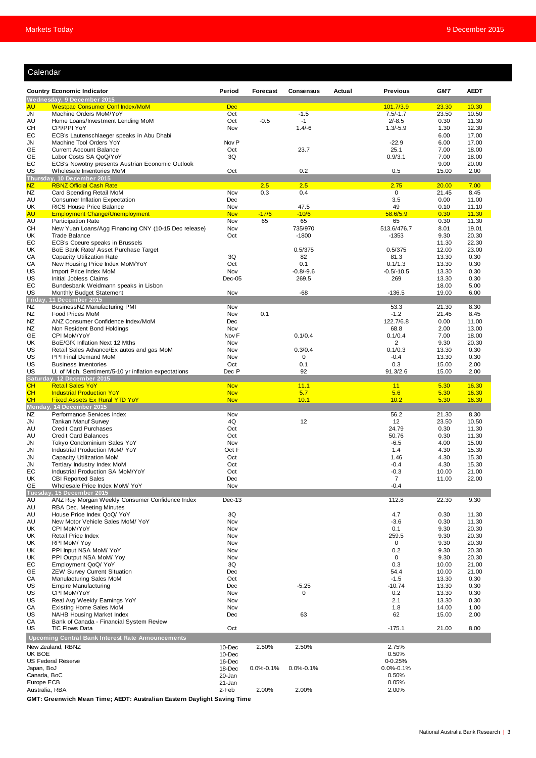|  | Calendar |  |
|--|----------|--|

| Calendar                                                 |                                                                                    |                   |                 |                  |        |                          |                |                |
|----------------------------------------------------------|------------------------------------------------------------------------------------|-------------------|-----------------|------------------|--------|--------------------------|----------------|----------------|
|                                                          | <b>Country Economic Indicator</b>                                                  | Period            | Forecast        | <b>Consensus</b> | Actual | <b>Previous</b>          | <b>GMT</b>     | <b>AEDT</b>    |
|                                                          | Wednesday, 9 December 2015                                                         |                   |                 |                  |        |                          |                |                |
| <b>AU</b>                                                | <b>Westpac Consumer Conf Index/MoM</b>                                             | <b>Dec</b>        |                 |                  |        | 101.7/3.9                | 23.30          | 10.30          |
| JN<br>AU                                                 | Machine Orders MoM/YoY<br>Home Loans/Investment Lending MoM                        | Oct<br>Oct        | $-0.5$          | $-1.5$<br>$-1$   |        | $7.5/-1.7$<br>$2/-8.5$   | 23.50<br>0.30  | 10.50<br>11.30 |
| CН                                                       | CPI/PPI YoY                                                                        | Nov               |                 | $1.4/-6$         |        | $1.3/-5.9$               | 1.30           | 12.30          |
| EС                                                       | ECB's Lautenschlaeger speaks in Abu Dhabi                                          |                   |                 |                  |        |                          | 6.00           | 17.00          |
| JN                                                       | Machine Tool Orders YoY                                                            | Nov <sub>P</sub>  |                 |                  |        | $-22.9$                  | 6.00           | 17.00          |
| GЕ<br>GЕ                                                 | <b>Current Account Balance</b><br>Labor Costs SA QoQ/YoY                           | Oct<br>3Q         |                 | 23.7             |        | 25.1<br>0.9/3.1          | 7.00<br>7.00   | 18.00<br>18.00 |
| EC                                                       | ECB's Nowotny presents Austrian Economic Outlook                                   |                   |                 |                  |        |                          | 9.00           | 20.00          |
| US                                                       | Wholesale Inventories MoM                                                          | Oct               |                 | 0.2              |        | 0.5                      | 15.00          | 2.00           |
| <b>NZ</b>                                                | Thursday, 10 December 2015<br><b>RBNZ Official Cash Rate</b>                       |                   | 2.5             | 2.5              |        | 2.75                     | 20.00          | 7.00           |
| NZ                                                       | Card Spending Retail MoM                                                           | Nov               | 0.3             | 0.4              |        | 0                        | 21.45          | 8.45           |
| AU                                                       | <b>Consumer Inflation Expectation</b>                                              | Dec               |                 |                  |        | 3.5                      | 0.00           | 11.00          |
| UK<br><b>AU</b>                                          | RICS House Price Balance<br><b>Employment Change/Unemployment</b>                  | Nov<br><b>Nov</b> | $-17/6$         | 47.5<br>$-10/6$  |        | 49<br>58.6/5.9           | 0.10<br>0.30   | 11.10<br>11.30 |
| AU                                                       | <b>Participation Rate</b>                                                          | Nov               | 65              | 65               |        | 65                       | 0.30           | 11.30          |
| CН                                                       | New Yuan Loans/Agg Financing CNY (10-15 Dec release)                               | Nov               |                 | 735/970          |        | 513.6/476.7              | 8.01           | 19.01          |
| UK                                                       | <b>Trade Balance</b>                                                               | Oct               |                 | $-1800$          |        | $-1353$                  | 9.30           | 20.30          |
| EС<br>UK                                                 | ECB's Coeure speaks in Brussels<br>BoE Bank Rate/ Asset Purchase Target            |                   |                 | 0.5/375          |        | 0.5/375                  | 11.30<br>12.00 | 22.30<br>23.00 |
| СA                                                       | Capacity Utilization Rate                                                          | 3Q                |                 | 82               |        | 81.3                     | 13.30          | 0.30           |
| СA                                                       | New Housing Price Index MoM/YoY                                                    | Oct               |                 | 0.1              |        | 0.1/1.3                  | 13.30          | 0.30           |
| US                                                       | Import Price Index MoM                                                             | Nov               |                 | $-0.8/-9.6$      |        | $-0.5/-10.5$             | 13.30          | 0.30           |
| US<br>EC                                                 | Initial Jobless Claims<br>Bundesbank Weidmann speaks in Lisbon                     | $Dec-05$          |                 | 269.5            |        | 269                      | 13.30<br>18.00 | 0.30<br>5.00   |
| US                                                       | Monthly Budget Statement                                                           | Nov               |                 | $-68$            |        | $-136.5$                 | 19.00          | 6.00           |
| Friday,                                                  | 11 December 2015                                                                   |                   |                 |                  |        |                          |                |                |
| NZ<br>NZ                                                 | BusinessNZ Manufacturing PMI<br><b>Food Prices MoM</b>                             | Nov<br>Nov        | 0.1             |                  |        | 53.3<br>$-1.2$           | 21.30<br>21.45 | 8.30<br>8.45   |
| NZ                                                       | ANZ Consumer Confidence Index/MoM                                                  | Dec               |                 |                  |        | 122.7/6.8                | 0.00           | 11.00          |
| NZ                                                       | Non Resident Bond Holdings                                                         | Nov               |                 |                  |        | 68.8                     | 2.00           | 13.00          |
| GE                                                       | CPI MoM/YoY                                                                        | Nov <sub>F</sub>  |                 | 0.1/0.4          |        | 0.1/0.4                  | 7.00           | 18.00          |
| UK<br>US                                                 | BoE/GfK Inflation Next 12 Mths<br>Retail Sales Advance/Ex autos and gas MoM        | Nov<br>Nov        |                 | 0.3/0.4          |        | 2<br>0.1/0.3             | 9.30<br>13.30  | 20.30<br>0.30  |
| US                                                       | PPI Final Demand MoM                                                               | Nov               |                 | 0                |        | $-0.4$                   | 13.30          | 0.30           |
| US                                                       | <b>Business Inventories</b>                                                        | Oct               |                 | 0.1              |        | 0.3                      | 15.00          | 2.00           |
| US                                                       | U. of Mich. Sentiment/5-10 yr inflation expectations<br>Saturday, 12 December 2015 | Dec P             |                 | 92               |        | 91.3/2.6                 | 15.00          | 2.00           |
| CH                                                       | <b>Retail Sales YoY</b>                                                            | <b>Nov</b>        |                 | 11.1             |        | 11                       | 5.30           | 16.30          |
| <b>CH</b>                                                | <b>Industrial Production YoY</b>                                                   | <b>Nov</b>        |                 | 5.7              |        | 5.6                      | 5.30           | 16.30          |
| <b>CH</b>                                                | <b>Fixed Assets Ex Rural YTD YoY</b><br>Monday, 14 December 2015                   | <b>Nov</b>        |                 | 10.1             |        | 10.2                     | 5.30           | 16.30          |
| NZ                                                       | Performance Services Index                                                         | Nov               |                 |                  |        | 56.2                     | 21.30          | 8.30           |
| JN                                                       | Tankan Manuf Survey                                                                | 4Q                |                 | 12               |        | 12                       | 23.50          | 10.50          |
| AU                                                       | <b>Credit Card Purchases</b>                                                       | Oct               |                 |                  |        | 24.79                    | 0.30           | 11.30          |
| AU<br>JN                                                 | <b>Credit Card Balances</b><br>Tokyo Condominium Sales YoY                         | Oct<br>Nov        |                 |                  |        | 50.76<br>$-6.5$          | 0.30<br>4.00   | 11.30<br>15.00 |
| JN                                                       | Industrial Production MoM/ YoY                                                     | Oct F             |                 |                  |        | 1.4                      | 4.30           | 15.30          |
| JN                                                       | Capacity Utilization MoM                                                           | Oct               |                 |                  |        | 1.46                     | 4.30           | 15.30          |
| JN<br>EC                                                 | Tertiary Industry Index MoM<br>Industrial Production SA MoM/YoY                    | Oct<br>Oct        |                 |                  |        | $-0.4$<br>$-0.3$         | 4.30<br>10.00  | 15.30<br>21.00 |
| UK                                                       | <b>CBI Reported Sales</b>                                                          | Dec               |                 |                  |        | $\overline{7}$           | 11.00          | 22.00          |
| GE                                                       | Wholesale Price Index MoM/ YoY                                                     | Nov               |                 |                  |        | $-0.4$                   |                |                |
| AU                                                       | Tuesday, 15 December 2015<br>ANZ Roy Morgan Weekly Consumer Confidence Index       | $Dec-13$          |                 |                  |        | 112.8                    | 22.30          | 9.30           |
| AU                                                       | RBA Dec. Meeting Minutes                                                           |                   |                 |                  |        |                          |                |                |
| AU                                                       | House Price Index QoQ/ YoY                                                         | 3Q                |                 |                  |        | 4.7                      | 0.30           | 11.30          |
| AU                                                       | New Motor Vehicle Sales MoM/YoY                                                    | Nov               |                 |                  |        | $-3.6$                   | 0.30           | 11.30          |
| UK<br>UK                                                 | CPI MoM/YoY<br>Retail Price Index                                                  | Nov<br>Nov        |                 |                  |        | 0.1<br>259.5             | 9.30<br>9.30   | 20.30<br>20.30 |
| UK                                                       | RPI MoM/ Yoy                                                                       | Nov               |                 |                  |        | 0                        | 9.30           | 20.30          |
| UK                                                       | PPI Input NSA MoM/ YoY                                                             | Nov               |                 |                  |        | 0.2                      | 9.30           | 20.30          |
| UK<br>EС                                                 | PPI Output NSA MoM/ Yoy<br>Employment QoQ/ YoY                                     | Nov<br>3Q         |                 |                  |        | 0<br>0.3                 | 9.30<br>10.00  | 20.30<br>21.00 |
| GE                                                       | <b>ZEW Survey Current Situation</b>                                                | Dec               |                 |                  |        | 54.4                     | 10.00          | 21.00          |
| СA                                                       | Manufacturing Sales MoM                                                            | Oct               |                 |                  |        | $-1.5$                   | 13.30          | 0.30           |
| US                                                       | <b>Empire Manufacturing</b>                                                        | Dec               |                 | $-5.25$          |        | $-10.74$                 | 13.30          | 0.30           |
| US<br>US                                                 | CPI MoM/YoY<br>Real Avg Weekly Earnings YoY                                        | Nov<br>Nov        |                 | 0                |        | 0.2<br>2.1               | 13.30<br>13.30 | 0.30<br>0.30   |
| СA                                                       | Existing Home Sales MoM                                                            | Nov               |                 |                  |        | 1.8                      | 14.00          | 1.00           |
| US                                                       | NAHB Housing Market Index                                                          | Dec               |                 | 63               |        | 62                       | 15.00          | 2.00           |
| СA<br>US                                                 | Bank of Canada - Financial System Review<br><b>TIC Flows Data</b>                  | Oct               |                 |                  |        | $-175.1$                 | 21.00          | 8.00           |
| <b>Upcoming Central Bank Interest Rate Announcements</b> |                                                                                    |                   |                 |                  |        |                          |                |                |
|                                                          | New Zealand, RBNZ                                                                  | 10-Dec            | 2.50%           | 2.50%            |        | 2.75%                    |                |                |
| UK BOE                                                   |                                                                                    | 10-Dec            |                 |                  |        | 0.50%                    |                |                |
|                                                          | <b>US Federal Reserve</b>                                                          | 16-Dec            |                 |                  |        | $0 - 0.25%$              |                |                |
| Japan, BoJ<br>Canada, BoC                                |                                                                                    | 18-Dec<br>20-Jan  | $0.0\% - 0.1\%$ | $0.0\% - 0.1\%$  |        | $0.0\% - 0.1\%$<br>0.50% |                |                |
| Europe ECB                                               |                                                                                    | 21-Jan            |                 |                  |        | 0.05%                    |                |                |
| Australia, RBA                                           |                                                                                    | 2-Feb             | 2.00%           | 2.00%            |        | 2.00%                    |                |                |

**GMT: Greenwich Mean Time; AEDT: Australian Eastern Daylight Saving Time**